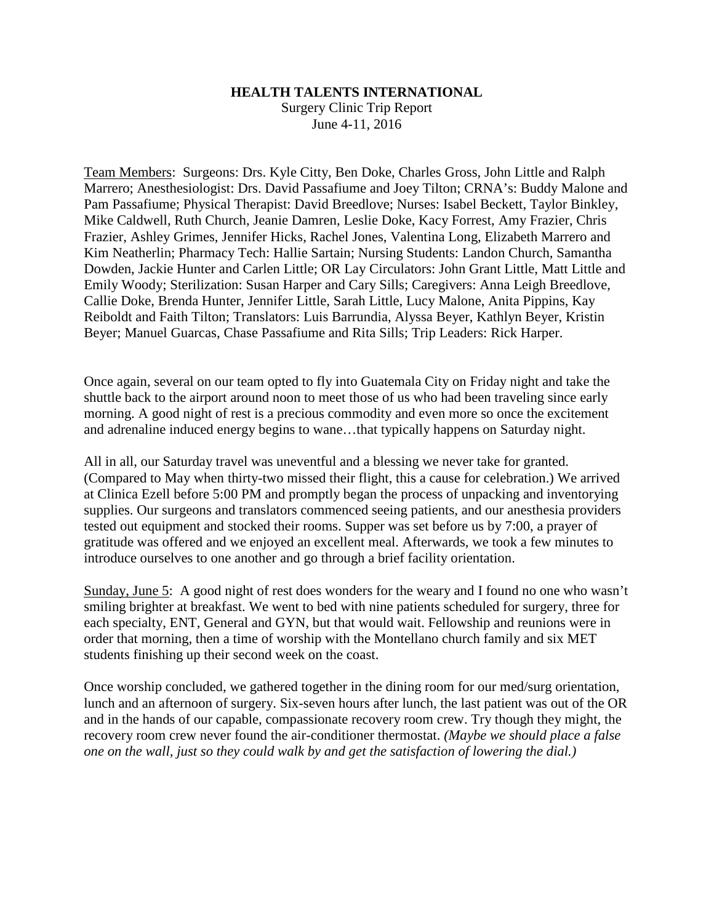## **HEALTH TALENTS INTERNATIONAL**

Surgery Clinic Trip Report June 4-11, 2016

Team Members: Surgeons: Drs. Kyle Citty, Ben Doke, Charles Gross, John Little and Ralph Marrero; Anesthesiologist: Drs. David Passafiume and Joey Tilton; CRNA's: Buddy Malone and Pam Passafiume; Physical Therapist: David Breedlove; Nurses: Isabel Beckett, Taylor Binkley, Mike Caldwell, Ruth Church, Jeanie Damren, Leslie Doke, Kacy Forrest, Amy Frazier, Chris Frazier, Ashley Grimes, Jennifer Hicks, Rachel Jones, Valentina Long, Elizabeth Marrero and Kim Neatherlin; Pharmacy Tech: Hallie Sartain; Nursing Students: Landon Church, Samantha Dowden, Jackie Hunter and Carlen Little; OR Lay Circulators: John Grant Little, Matt Little and Emily Woody; Sterilization: Susan Harper and Cary Sills; Caregivers: Anna Leigh Breedlove, Callie Doke, Brenda Hunter, Jennifer Little, Sarah Little, Lucy Malone, Anita Pippins, Kay Reiboldt and Faith Tilton; Translators: Luis Barrundia, Alyssa Beyer, Kathlyn Beyer, Kristin Beyer; Manuel Guarcas, Chase Passafiume and Rita Sills; Trip Leaders: Rick Harper.

Once again, several on our team opted to fly into Guatemala City on Friday night and take the shuttle back to the airport around noon to meet those of us who had been traveling since early morning. A good night of rest is a precious commodity and even more so once the excitement and adrenaline induced energy begins to wane…that typically happens on Saturday night.

All in all, our Saturday travel was uneventful and a blessing we never take for granted. (Compared to May when thirty-two missed their flight, this a cause for celebration.) We arrived at Clinica Ezell before 5:00 PM and promptly began the process of unpacking and inventorying supplies. Our surgeons and translators commenced seeing patients, and our anesthesia providers tested out equipment and stocked their rooms. Supper was set before us by 7:00, a prayer of gratitude was offered and we enjoyed an excellent meal. Afterwards, we took a few minutes to introduce ourselves to one another and go through a brief facility orientation.

Sunday, June 5: A good night of rest does wonders for the weary and I found no one who wasn't smiling brighter at breakfast. We went to bed with nine patients scheduled for surgery, three for each specialty, ENT, General and GYN, but that would wait. Fellowship and reunions were in order that morning, then a time of worship with the Montellano church family and six MET students finishing up their second week on the coast.

Once worship concluded, we gathered together in the dining room for our med/surg orientation, lunch and an afternoon of surgery. Six-seven hours after lunch, the last patient was out of the OR and in the hands of our capable, compassionate recovery room crew. Try though they might, the recovery room crew never found the air-conditioner thermostat. *(Maybe we should place a false one on the wall, just so they could walk by and get the satisfaction of lowering the dial.)*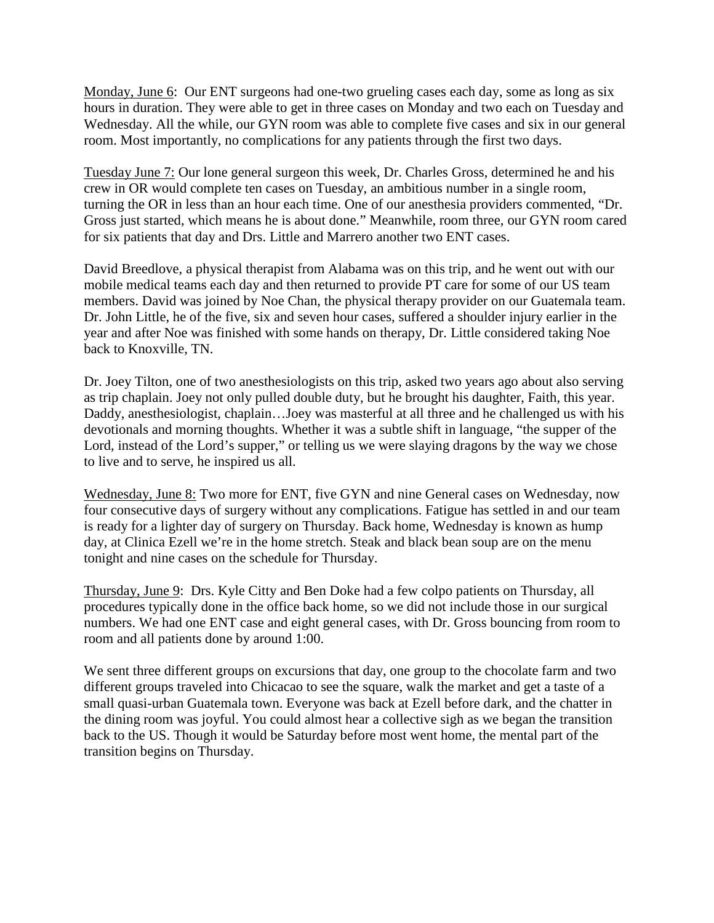Monday, June 6: Our ENT surgeons had one-two grueling cases each day, some as long as six hours in duration. They were able to get in three cases on Monday and two each on Tuesday and Wednesday. All the while, our GYN room was able to complete five cases and six in our general room. Most importantly, no complications for any patients through the first two days.

Tuesday June 7: Our lone general surgeon this week, Dr. Charles Gross, determined he and his crew in OR would complete ten cases on Tuesday, an ambitious number in a single room, turning the OR in less than an hour each time. One of our anesthesia providers commented, "Dr. Gross just started, which means he is about done." Meanwhile, room three, our GYN room cared for six patients that day and Drs. Little and Marrero another two ENT cases.

David Breedlove, a physical therapist from Alabama was on this trip, and he went out with our mobile medical teams each day and then returned to provide PT care for some of our US team members. David was joined by Noe Chan, the physical therapy provider on our Guatemala team. Dr. John Little, he of the five, six and seven hour cases, suffered a shoulder injury earlier in the year and after Noe was finished with some hands on therapy, Dr. Little considered taking Noe back to Knoxville, TN.

Dr. Joey Tilton, one of two anesthesiologists on this trip, asked two years ago about also serving as trip chaplain. Joey not only pulled double duty, but he brought his daughter, Faith, this year. Daddy, anesthesiologist, chaplain…Joey was masterful at all three and he challenged us with his devotionals and morning thoughts. Whether it was a subtle shift in language, "the supper of the Lord, instead of the Lord's supper," or telling us we were slaying dragons by the way we chose to live and to serve, he inspired us all.

Wednesday, June 8: Two more for ENT, five GYN and nine General cases on Wednesday, now four consecutive days of surgery without any complications. Fatigue has settled in and our team is ready for a lighter day of surgery on Thursday. Back home, Wednesday is known as hump day, at Clinica Ezell we're in the home stretch. Steak and black bean soup are on the menu tonight and nine cases on the schedule for Thursday.

Thursday, June 9: Drs. Kyle Citty and Ben Doke had a few colpo patients on Thursday, all procedures typically done in the office back home, so we did not include those in our surgical numbers. We had one ENT case and eight general cases, with Dr. Gross bouncing from room to room and all patients done by around 1:00.

We sent three different groups on excursions that day, one group to the chocolate farm and two different groups traveled into Chicacao to see the square, walk the market and get a taste of a small quasi-urban Guatemala town. Everyone was back at Ezell before dark, and the chatter in the dining room was joyful. You could almost hear a collective sigh as we began the transition back to the US. Though it would be Saturday before most went home, the mental part of the transition begins on Thursday.